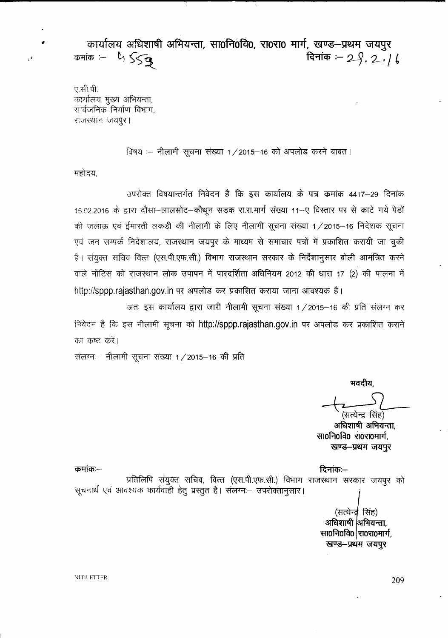• **4>llIT(i1l1 ~~,** mo~ofqo, **XTOXTO 1lJlf, ~-~** \J111~'<  $\Phi$ <sup> $\Phi$ </sup>  $\Rightarrow$   $\Phi$   $\Rightarrow$   $\Phi$   $\Rightarrow$   $\Phi$   $\Rightarrow$   $\Phi$   $\Rightarrow$   $\Phi$   $\Rightarrow$   $\Phi$   $\Rightarrow$   $\Phi$   $\Rightarrow$   $\Phi$   $\Rightarrow$   $\Phi$   $\Rightarrow$   $\Phi$   $\Rightarrow$   $\Phi$   $\Rightarrow$   $\Phi$   $\Rightarrow$   $\Phi$   $\Rightarrow$   $\Phi$   $\Rightarrow$   $\Phi$   $\Rightarrow$   $\Phi$   $\Rightarrow$   $\Phi$   $\Rightarrow$   $\Phi$   $\Rightarrow$   $\Phi$   $\Rightarrow$   $\Phi$   $\Rightarrow$   $\Phi$ 

 $\mathbbm{C}$  सी.पी. कार्यालय मुख्य अभियन्ता, <sup>x</sup>'llc-tiJ1 f'i *Cf> <sup>~</sup> ~,* राजस्थान जयपुर।

विषय :-- नीलामी सूचना संख्या 1 / 2015-16 को अपलोड करने बाबत।

महोदय,

 $\mathcal{L}$ 

उपरोक्त विषयान्तर्गत निवेदन है कि इस कार्यालय के पत्र कमांक 4417–29 दिनांक 16.02.2016 के द्वारा दौसा-लालसोट-कौथून सडक रा.रा.मार्ग संख्या 11-ए विस्तार पर से काटे गये पेडों की जलाऊ एवं ईमारती लकडी की नीलामी के लिए नीलामी सूचना संख्या 1/2015-16 निदेशक सूचना एवं जन सम्पर्क निदेशालय, राजस्थान जयपुर के माध्यम से समाचार पत्रों में प्रकाशित करायी जा चुकी है। संयुक्त सचिव वित्त (एस.पी.एफ.सी.) विभाग राजस्थान सरकार के निर्देशानुसार बोली आमंत्रित करने वाले नोटिस को राजस्थान लोक उपापन में पारदर्शिता अधिनियम 2012 की धारा 17 (2) की पालना में http://sppp.rajasthan.gov.in पर अपलोड कर प्रकाशित कराया जाना आवश्यक है।

अतः इस कार्यालय द्वारा जारी नीलामी सूचना संख्या 1/2015–16 की प्रति संलग्न कर निवेदन है कि इस नीलामी सूचना को http://sppp.rajasthan.gov.in पर अपलोड कर प्रकाशित कराने का कष्ट करें।

संलग्न -- नीलामी सूचना संख्या 1 / 2015-16 की प्रति

मवदीय.

सत्येन्द्र सिंह) अधिशाषी अभियन्ता.

 $\overline{x}$   $\overline{x}$   $\overline{0}$   $\overline{x}$   $\overline{0}$   $\overline{x}$   $\overline{0}$   $\overline{x}$   $\overline{0}$   $\overline{x}$   $\overline{0}$   $\overline{x}$   $\overline{0}$   $\overline{x}$   $\overline{0}$   $\overline{x}$   $\overline{0}$   $\overline{x}$   $\overline{0}$   $\overline{x}$   $\overline{0}$   $\overline{x}$   $\overline{0}$   $\overline{x}$   $\overline{0}$   $\overline{x}$  खण्ड-प्रथम जयपुर

~:-. ~:- प्रतिलिपि संयुक्त सचिव, वित्त (एस.पी.एफ.सी.) विभाग राजस्थान सरकार जयपुर को सूचनार्थ एवं आवश्यक कार्यवाही हेतु प्रस्तुत है। संलग्नः— उपरोक्तानुसार। (सत्येन्द्र सिंह) अधिशाषी अभियन्ता, **सा0नि0वि0 रा0रा0मार्ग**, खण्ड-प्रथम जयपुर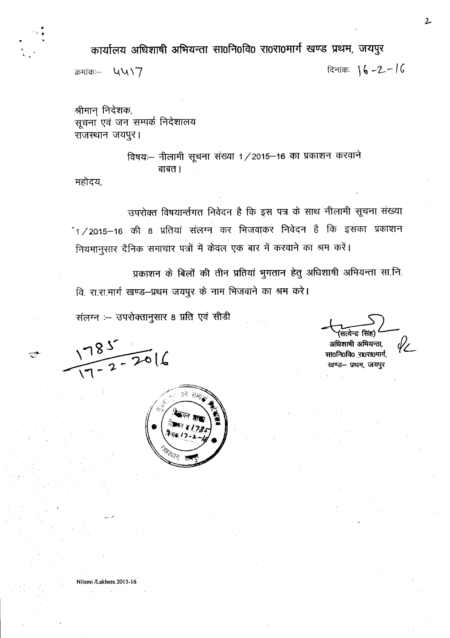कार्यालय अधिशाषी अभियन्ता सा0नि0वि0 रा0रा0मार्ग खण्ड प्रथम, जयपुर

क्रमांकः— **प्** $V$ **\**7  $\overline{7}$ 

•

 $\overline{z}^*$ 

श्रीमान् निदेशक, सूचना एवं जन सम्पर्क निदेशालय राजस्थान जयपुर।

> विषयः- नीलामी सूचना संख्या 1/2015-16 का प्रकाशन करवाने  $\overline{q}$  and  $\overline{q}$

महोदय,

उपरोक्त विषयार्न्तगत निवेदन है कि इस पत्र के साथ नीलामी सूचना संख्या  $^{-1}$ /2015-16 की 8 प्रतियां संलग्न कर भिजवाकर निवेदन है कि इसका प्रकाशन नियमानुसार दैनिक समाचार पत्रों में केवल एक बार में करवाने का श्रम करें।

प्रकाशन के बिलों की तीन प्रतियां भुगतान हेतु अधिशाषी अभियन्ता सा.नि.

वि. रा.रा.मार्ग खण्ड-प्रथम जयपुर के नाम भिजवाने का श्रम करे।

संलग्न :- उपरोक्तानुसार 8 प्रति एवं सीडी

 $1785$ <br> $7-2-2016$ 



अधिशाषी अमियन्ता,

सा0नि0वि0 रा0रा0मार्ग, खण्ड- प्रथम, जयपुर

 $\mathbf{2}$ 

Nilami/Lakhera 2015-16

*"'\_.' "1"*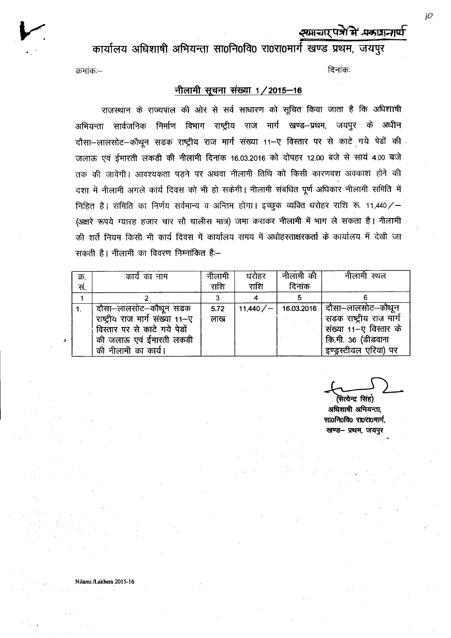# *श*माचार पत्रों में *भ*कारानार्थ

**ct>llIf61l1 <sup>~</sup> <sup>~</sup> mof.1ofcfo** ~o~olfrlf ~~, **G1l1g'<**

#### ~:- ~:

### $\dagger$ नीलामी सूचना संख्या 1/2015-16

राजस्थान के राज्यपाल की ओर से सर्व साधारण को सूचित किया जाता है कि अधिशाषी अभियन्ता सार्वजनिक निर्माण विभाग राष्ट्रीय राज मार्ग खण्ड–प्रथम, जयपुर के अधीन दौसा-लालसोट-कौथून सडक राष्ट्रीय राज मार्ग संख्या 11-ए विस्तार पर से काटे गये पेडों की जलाऊ एवं ईमारती लकडी की नीलामी दिनांक 16.03.2016 को दोपहर 12.00 बजे से सायं 4.00 बजे तक की जावेगी। आवश्यकता पडने पर अथवा नीलामी तिथि को किसी कारणवश अवकाश होने की दशा में नीलामी अगले कार्य दिवस को भी हो सकेगी। नीलामी संबधित पूर्ण अधिकार नीलामी समिति में निहित है। समिति का निर्णय सर्वमान्य व अन्तिम होगा। इच्छुक व्यक्ति धरोहर राशि रू. 11,440/-(अक्षरे रूपये ग्यारह हजार चार सौ चालीस मात्र) जमा कराकर नीलामी में भाग ले सकता है। नीलामी की शर्तें नियम किसी भी कार्य दिवस में कार्यालय समय में अधोहस्ताक्षरकर्ता के कार्यालय में देखी जा *~ t* <sup>I</sup> <sup>~</sup> cpr fcrcRur PtJOrtiPcP('1 *t:-*

| क्र. | कार्य का नाम                    | नीलामी | धरोहर   | नीलामी की | नीलामी स्थल                    |
|------|---------------------------------|--------|---------|-----------|--------------------------------|
| सं.  |                                 | राशि   | राशि    | दिनांक    |                                |
|      |                                 |        |         |           |                                |
|      | दौसा–लालसोट–कौथून सडक           | 5.72   | 11,440/ |           | 16.03.2016   दौसा–लालसोट–कौथून |
|      | राष्ट्रीय राज मार्ग संख्या 11-ए | लाख    |         |           | सडक राष्ट्रीय राज मार्ग        |
|      | विस्तार पर से काटे गये पेडों    |        |         |           | संख्या 11–ए विस्तार के         |
|      | की जलाऊ एवं ईमारती लकडी         |        |         |           | कि.मी. 36 (डीडवाना             |
|      | की नीलामी का कार्य।             |        |         |           | इण्ड्रस्टीयल एरिया) पर         |

सत्येन्द्र सिंह) अधिशाषी अभियन्ता. **mof.!rofclo** ~~1JJlf, खण्ड— प्रथम, जयपर

*)0*

Nilami /Lakhera 2015-16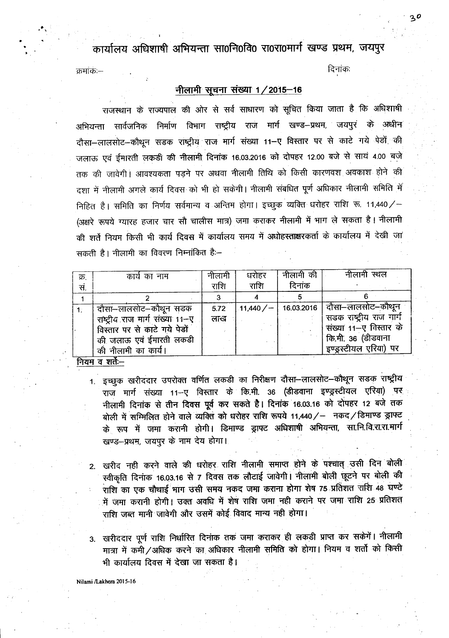कार्यालय अधिशाषी अभियन्ता सा0नि0वि0 रा0रा0मार्ग खण्ड प्रथम, जयपुर

दिनांकः

#### क्रमांक —

## नीलामी सूचना संख्या 1/2015-16

राजस्थान के राज्यपाल की ओर से सर्व साधारण को सूचित किया जाता है कि अधिशाषी अभियन्ता सार्वजनिक निर्माण विभाग राष्ट्रीय राज मार्ग खण्ड–प्रथम, जयपुर के अधीन दौसा-लालसोट-कौथून सड़क राष्ट्रीय राज मार्ग संख्या 11-ए विस्तार पर से काटे गये पेड़ों की जलाऊ एवं ईमारती लकड़ी की नीलामी दिनांक 16.03.2016 को दोपहर 12.00 बजे से सायं 4.00 बजे तक की जावेगी। आवश्यकता पड़ने पर अथवा नीलामी तिथि को किसी कारणवश अवकाश होने की दशा में नीलामी अगले कार्य दिवस को भी हो सकेगी। नीलामी संबधित पूर्ण अधिकार नीलामी समिति में निहित है। समिति का निर्णय सर्वमान्य व अन्तिम होगा। इच्छुक व्यक्ति धरोहर राशि रू. 11,440/-(अक्षरे रूपये ग्यारह हजार चार सौ चालीस मात्र) जमा कराकर नीलामी में भाग ले सकता है। नीलामी की शर्ते नियम किसी भी कार्य दिवस में कार्यालय समय में अधोहस्ताक्षरकर्ता के कार्यालय में देखी जा सकती है। नीलामी का विवरण निम्नांकित है:–

| क्र. | कार्य का नाम                    | नीलामी | धरोहर    | नीलामी की | नीलामी स्थल                    |  |  |  |  |
|------|---------------------------------|--------|----------|-----------|--------------------------------|--|--|--|--|
| सं.  |                                 | राशि   | राशि     | दिनांक    |                                |  |  |  |  |
|      |                                 |        |          |           |                                |  |  |  |  |
| 1.   | दौसा–लालसोट–कौथून सडक           | 5.72   | .11,440/ |           | 16.03.2016   दौसा–लालसोट–कौथून |  |  |  |  |
|      | राष्ट्रीय राज मार्ग संख्या 11-ए | लाख    |          |           | सडक राष्ट्रीय राज मार्ग        |  |  |  |  |
|      | विस्तार पर से काटे गये पेडों    |        |          |           | संख्या 11–ए निस्तार के         |  |  |  |  |
|      | की जलाऊ एवं ईमारती लकडी         |        |          |           | कि.मी. 36 (डीडवाना             |  |  |  |  |
|      | की नीलामी का कार्य।             |        |          |           | इण्ड्रस्टीयल एरिया) पर         |  |  |  |  |
|      |                                 |        |          |           |                                |  |  |  |  |

नियम व शते:--

- 1. इच्छुक खरीददार उपरोक्त वर्णित लकडी का निरीक्षण दौसा-लालसोट-कौथून सडक राष्ट्रीय राज मार्ग संख्या 11--ए विस्तार के कि.मी. 36 (डीडवाना इण्ड्रस्टीयल एरिया) पर नीलामी दिनांक से तीन दिवस पूर्व कर सकते हैं। दिनांक 16.03.16 को दोपहर 12 बजे तक बोली में सम्मिलित होने वाले व्यक्ति को धरोहर राशि रूपये 11,440/ – नकद/डिमाण्ड ड्राफ्ट के रूप में जमा करानी होगी। डिमाण्ड ड्राफ्ट अधिशाषी अभियन्ता, सा.नि.वि.रा.रा.मार्ग खण्ड-प्रथम, जयपुर के नाम देय होगा।
- 2. खरीद नही करने वाले की धरोहर राशि नीलामी समाप्त होने के पश्चात् उसी दिन बोली स्वीकृति दिनांक 16.03.16 से 7 दिवस तक लौटाई जावेगी। नीलामी बोली छूटने पर बोली की राशि का एक चौथाई भाग उसी समय नकद जमा कराना होगा शेष 75 प्रतिशत राशि 48 घण्टे में जमा करानी होगी। उक्त अवधि में शेष राशि जमा नही कराने पर जमा राशि 25 प्रतिशत राशि जब्त मानी जावेगी और उसमें कोई विवाद मान्य नही होगा।
- 3. खरीददार पूर्ण राशि निर्धारित दिनांक तक जमा कराकर ही लकड़ी प्राप्त कर सकेंगें। नीलामी मात्रा में कमी/अधिक करने का अधिकार नीलामी समिति को होगा। नियम व शर्तो को किसी भी कार्यालय दिवस में देखा जा सकता है।

Nilami /Lakhera 2015-16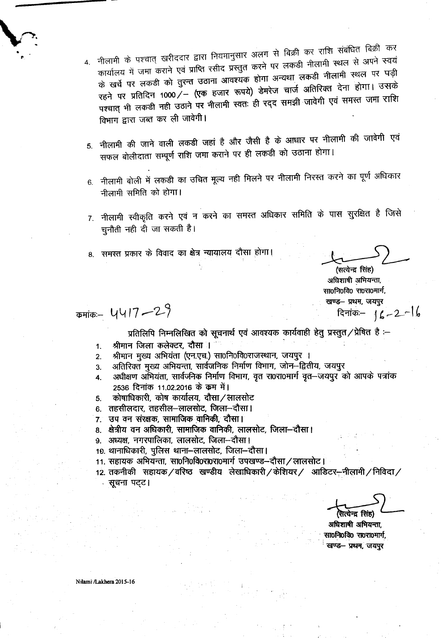नीलामी के पश्चात् खरीददार द्वारा नियमानुसार अलग से बिक्री कर राशि संबंधित बिक्री कर कार्यालय में जमा कराने एवं प्राप्ति रसीद प्रस्तुत करने पर लकडी नीलामी स्थल से अपने स्वयं के खर्च पर लकडी को तुरन्त उठाना आवश्यक होगा अन्यथा लकडी नीलामी स्थल पर पड़ी रहने पर प्रतिदिन 1000 / – (एक हजार रूपये) डेमरेज चार्ज अतिरिक्त देना होगा। उसके पश्चात् भी लकडी नही उठाने पर नीलामी स्वतः ही रद्द समझी जावेगी एवं समस्त जमा राशि विभाग द्वारा जब्त कर ली जावेगी।

- नीलामी की जाने वाली लकडी जहां है और जैसी है के आधार पर नीलामी की जावेगी एवं  $5.$ सफल बोलीदाता सम्पूर्ण राशि जमा कराने पर ही लकडी को उठाना होगा।
- 6. नीलामी बोली में लकडी का उचित मूल्य नही मिलने पर नीलामी निरस्त करने का पूर्ण अधिकार नीलामी समिति को होगा।
- 7. नीलामी स्वीकृति करने एवं न करने का समस्त अधिकार समिति के पास सुरक्षित है जिसे चुनौती नही दी जा सकती है।
- 8. समस्त प्रकार के विवाद का क्षेत्र न्यायालय दौसा होगा।

(सत्येन्द्र सिंह) अधिशाषी अभियन्ता, सा0नि0वि0 रा0रा0मार्ग, खण्ड- प्रथम, जयपुर दिनांक -  $16 - 2 - 16$ 

 $\Phi$ कमांकः – 4417 – 29

प्रतिलिपि निम्नलिखित को सूचनार्थ एवं आवश्यक कार्यवाही हेतु प्रस्तुत/प्रेषित है :-

- श्रीमान जिला कलेक्टर, दौसा । 1.
- श्रीमान मुख्य अभियंता (एन.एच.) सा0नि0वि0राजस्थान, जयपुर ।  $2.$
- अतिरिक्त मुख्य अभियन्ता, सार्वजनिक निर्माण विभाग, जोन-द्वितीय, जयपूर  $3<sub>1</sub>$
- अधीक्षण अभियंता, सार्वजनिक निर्माण विभाग, वृत रा0रा0मार्ग वृत-जयपूर को आपके पत्रांक  $\overline{\mathbf{A}}$ 2536 दिनांक 11.02.2016 के क्रम में।
- कोषाधिकारी, कोष कार्यालय, दौसा / लालसोट  $5.$
- 6. तहसीलदार, तहसील—लालसोट, जिला—दौसा ।
- 7. उप वन संरक्षक, सामाजिक वानिकी, दौसा।
- 8. क्षेत्रीय वन अधिकारी. सामाजिक वानिकी, लालसोट, जिला–दौसा।
- ९. अध्यक्ष, नगरपालिका, लालसोट, जिला--दौसा।
- 10. थानाधिकारी, पुलिस थाना–लालसोट, जिला–दौसा।
- 11. सहायक अभियन्ता, सा0नि0वि0रा0रा0मार्ग उपखण्ड-दौसा / लालसोट।
- 12. तकनीकी सहायक / वरिष्ठ खण्डीय लेखाधिकारी / केशियर / आडिटर—नीलामी / निविदा / सूचना पट्ट।

मेत्रोन्ट सिंह)

अधिशाषी अभियन्ता. सा0नि0वि0 रा0रा0मार्ग, खण्ड— प्रथम, जयपुर

Nilami /Lakhera 2015-16